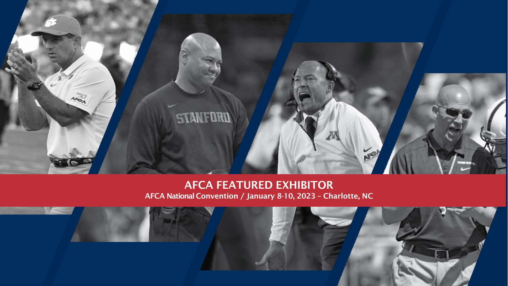

### AFCA FEATURED EXHIBITOR AFCA National Convention / January 8-10, 2023 – Charlotte, NC

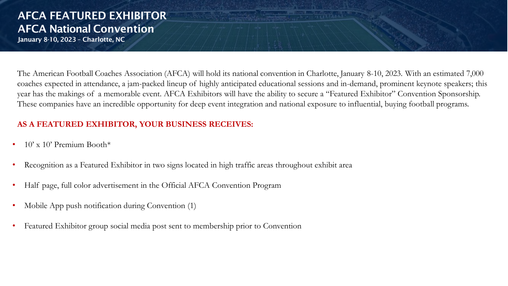# AFCA FEATURED EXHIBITOR AFCA National Convention

January 8-10, 2023 – Charlotte, NC

The American Football Coaches Association (AFCA) will hold its national convention in Charlotte, January 8-10, 2023. With an estimated 7,000 coaches expected in attendance, a jam-packed lineup of highly anticipated educational sessions and in-demand, prominent keynote speakers; this year has the makings of a memorable event. AFCA Exhibitors will have the ability to secure a "Featured Exhibitor" Convention Sponsorship. These companies have an incredible opportunity for deep event integration and national exposure to influential, buying football programs.

#### **AS A FEATURED EXHIBITOR, YOUR BUSINESS RECEIVES:**

- $10'$  x  $10'$  Premium Booth\*
- Recognition as a Featured Exhibitor in two signs located in high traffic areas throughout exhibit area
- Half page, full color advertisement in the Official AFCA Convention Program
- Mobile App push notification during Convention (1)
- Featured Exhibitor group social media post sent to membership prior to Convention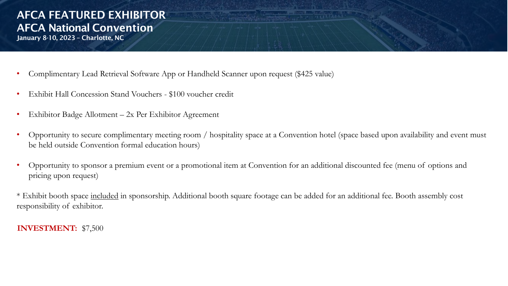## AFCA FEATURED EXHIBITOR AFCA National Convention

- January 8-10, 2023 Charlotte, NC
- Complimentary Lead Retrieval Software App or Handheld Scanner upon request (\$425 value)
- Exhibit Hall Concession Stand Vouchers \$100 voucher credit
- Exhibitor Badge Allotment 2x Per Exhibitor Agreement
- Opportunity to secure complimentary meeting room / hospitality space at a Convention hotel (space based upon availability and event must be held outside Convention formal education hours)
- Opportunity to sponsor a premium event or a promotional item at Convention for an additional discounted fee (menu of options and pricing upon request)

\* Exhibit booth space included in sponsorship. Additional booth square footage can be added for an additional fee. Booth assembly cost responsibility of exhibitor.

#### **INVESTMENT:** \$7,500